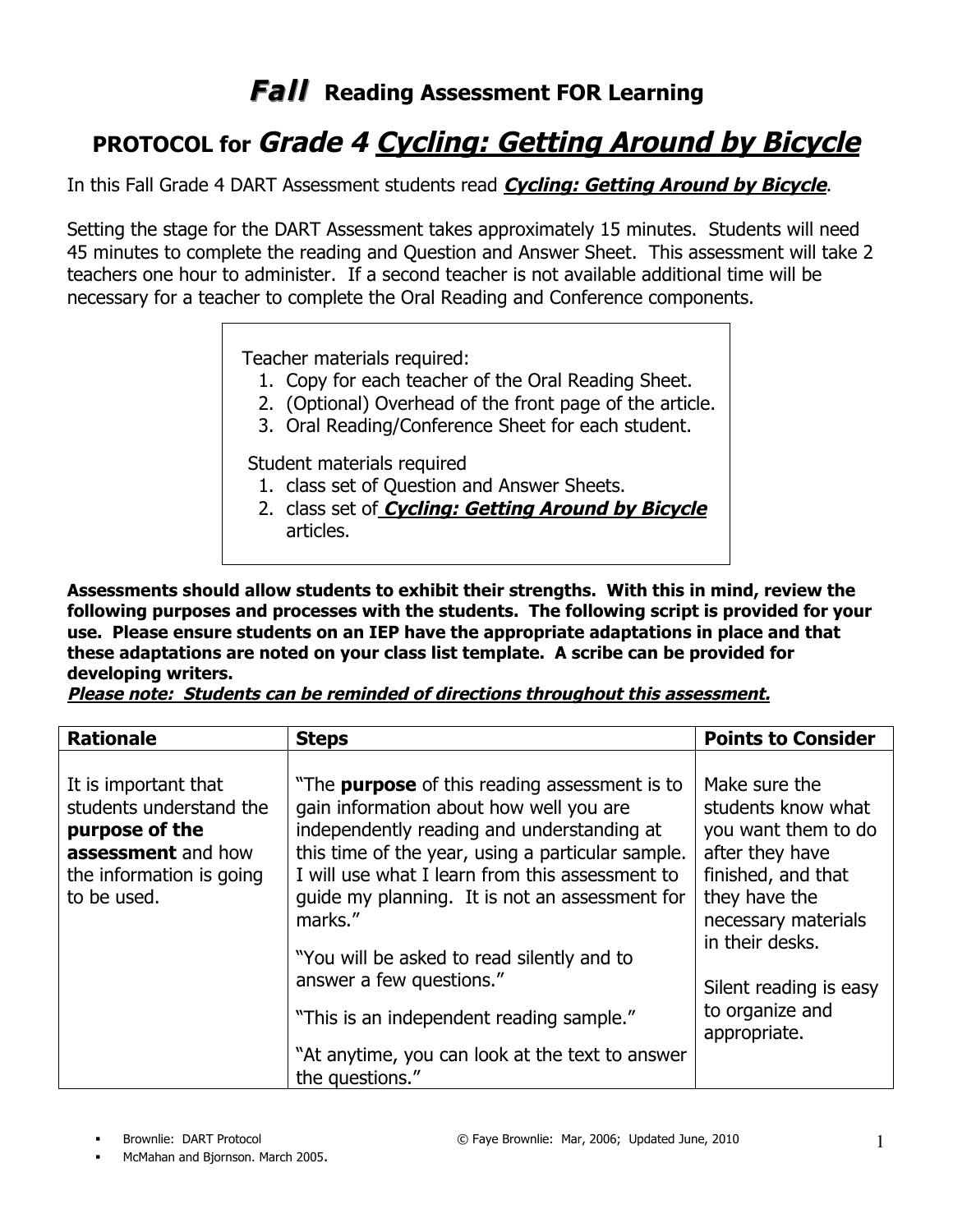## **Fall Reading Assessment FOR Learning**

## **PROTOCOL for Grade 4 Cycling: Getting Around by Bicycle**

In this Fall Grade 4 DART Assessment students read **Cycling: Getting Around by Bicycle**.

Setting the stage for the DART Assessment takes approximately 15 minutes. Students will need 45 minutes to complete the reading and Question and Answer Sheet. This assessment will take 2 teachers one hour to administer. If a second teacher is not available additional time will be necessary for a teacher to complete the Oral Reading and Conference components.

Teacher materials required:

- 1. Copy for each teacher of the Oral Reading Sheet.
- 2. (Optional) Overhead of the front page of the article.
- 3. Oral Reading/Conference Sheet for each student.

Student materials required

- 1. class set of Question and Answer Sheets.
- 2. class set of **Cycling: Getting Around by Bicycle** articles.

**Assessments should allow students to exhibit their strengths. With this in mind, review the following purposes and processes with the students. The following script is provided for your use. Please ensure students on an IEP have the appropriate adaptations in place and that these adaptations are noted on your class list template. A scribe can be provided for developing writers.** 

**Please note: Students can be reminded of directions throughout this assessment.**

| <b>Rationale</b>                                                                                                                   | <b>Steps</b>                                                                                                                                                                                                                                                                                                                                                                                                                                                                                                   | <b>Points to Consider</b>                                                                                                                                                                                                   |
|------------------------------------------------------------------------------------------------------------------------------------|----------------------------------------------------------------------------------------------------------------------------------------------------------------------------------------------------------------------------------------------------------------------------------------------------------------------------------------------------------------------------------------------------------------------------------------------------------------------------------------------------------------|-----------------------------------------------------------------------------------------------------------------------------------------------------------------------------------------------------------------------------|
| It is important that<br>students understand the<br>purpose of the<br>assessment and how<br>the information is going<br>to be used. | "The <b>purpose</b> of this reading assessment is to<br>gain information about how well you are<br>independently reading and understanding at<br>this time of the year, using a particular sample.<br>I will use what I learn from this assessment to<br>guide my planning. It is not an assessment for<br>marks."<br>"You will be asked to read silently and to<br>answer a few questions."<br>"This is an independent reading sample."<br>"At anytime, you can look at the text to answer<br>the questions." | Make sure the<br>students know what<br>you want them to do<br>after they have<br>finished, and that<br>they have the<br>necessary materials<br>in their desks.<br>Silent reading is easy<br>to organize and<br>appropriate. |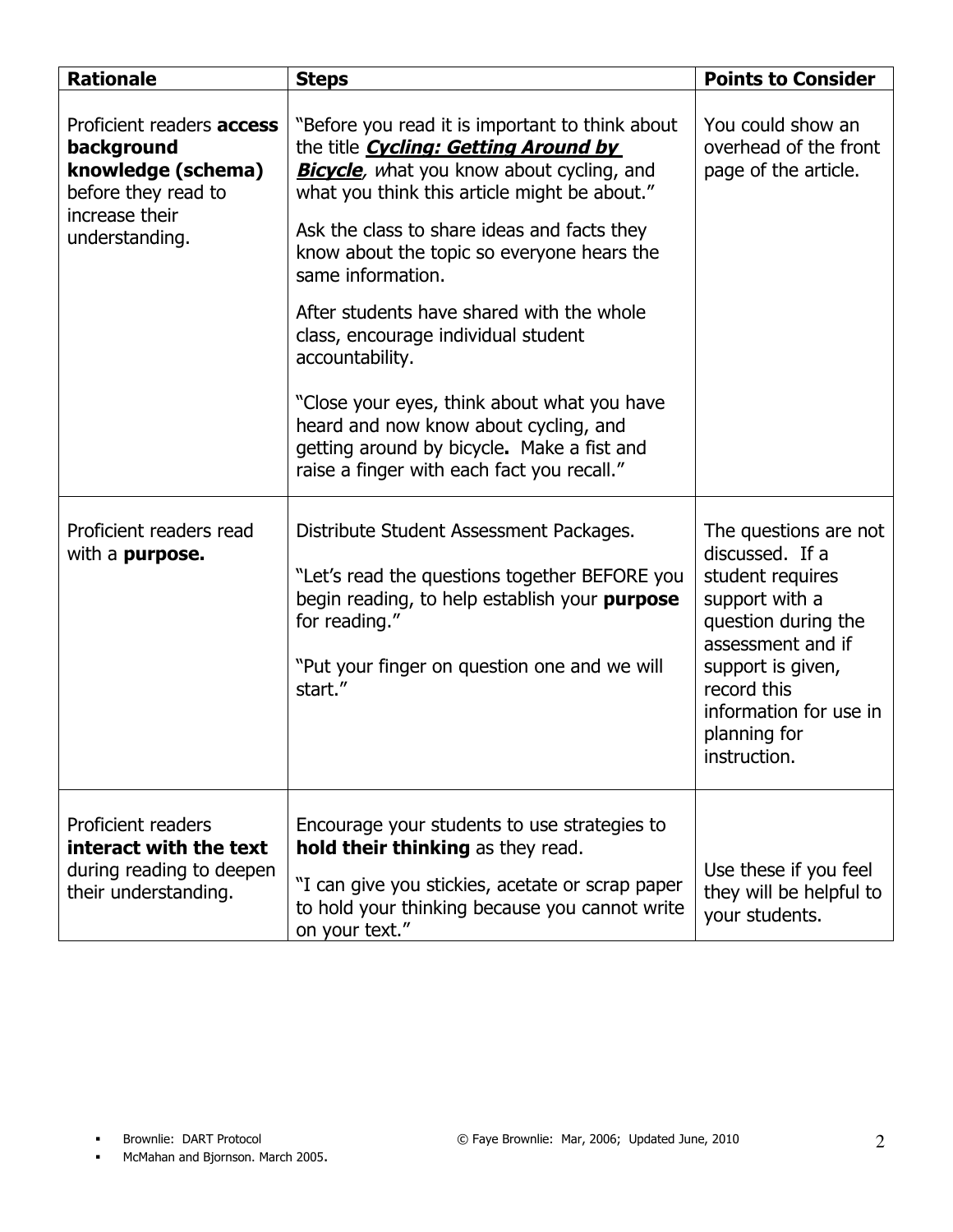| <b>Rationale</b>                                                                                                                | <b>Steps</b>                                                                                                                                                                                                                                                                                                                                                                                                                                                                                                                                                                                                     | <b>Points to Consider</b>                                                                                                                                                                                                |
|---------------------------------------------------------------------------------------------------------------------------------|------------------------------------------------------------------------------------------------------------------------------------------------------------------------------------------------------------------------------------------------------------------------------------------------------------------------------------------------------------------------------------------------------------------------------------------------------------------------------------------------------------------------------------------------------------------------------------------------------------------|--------------------------------------------------------------------------------------------------------------------------------------------------------------------------------------------------------------------------|
| Proficient readers <b>access</b><br>background<br>knowledge (schema)<br>before they read to<br>increase their<br>understanding. | "Before you read it is important to think about<br>the title <i>Cycling: Getting Around by</i><br><b>Bicycle</b> , what you know about cycling, and<br>what you think this article might be about."<br>Ask the class to share ideas and facts they<br>know about the topic so everyone hears the<br>same information.<br>After students have shared with the whole<br>class, encourage individual student<br>accountability.<br>"Close your eyes, think about what you have<br>heard and now know about cycling, and<br>getting around by bicycle. Make a fist and<br>raise a finger with each fact you recall." | You could show an<br>overhead of the front<br>page of the article.                                                                                                                                                       |
| Proficient readers read<br>with a <b>purpose.</b>                                                                               | Distribute Student Assessment Packages.<br>"Let's read the questions together BEFORE you<br>begin reading, to help establish your purpose<br>for reading."<br>"Put your finger on question one and we will<br>start."                                                                                                                                                                                                                                                                                                                                                                                            | The questions are not<br>discussed. If a<br>student requires<br>support with a<br>question during the<br>assessment and if<br>support is given,<br>record this<br>information for use in<br>planning for<br>instruction. |
| <b>Proficient readers</b><br>interact with the text<br>during reading to deepen<br>their understanding.                         | Encourage your students to use strategies to<br>hold their thinking as they read.<br>"I can give you stickies, acetate or scrap paper<br>to hold your thinking because you cannot write<br>on your text."                                                                                                                                                                                                                                                                                                                                                                                                        | Use these if you feel<br>they will be helpful to<br>your students.                                                                                                                                                       |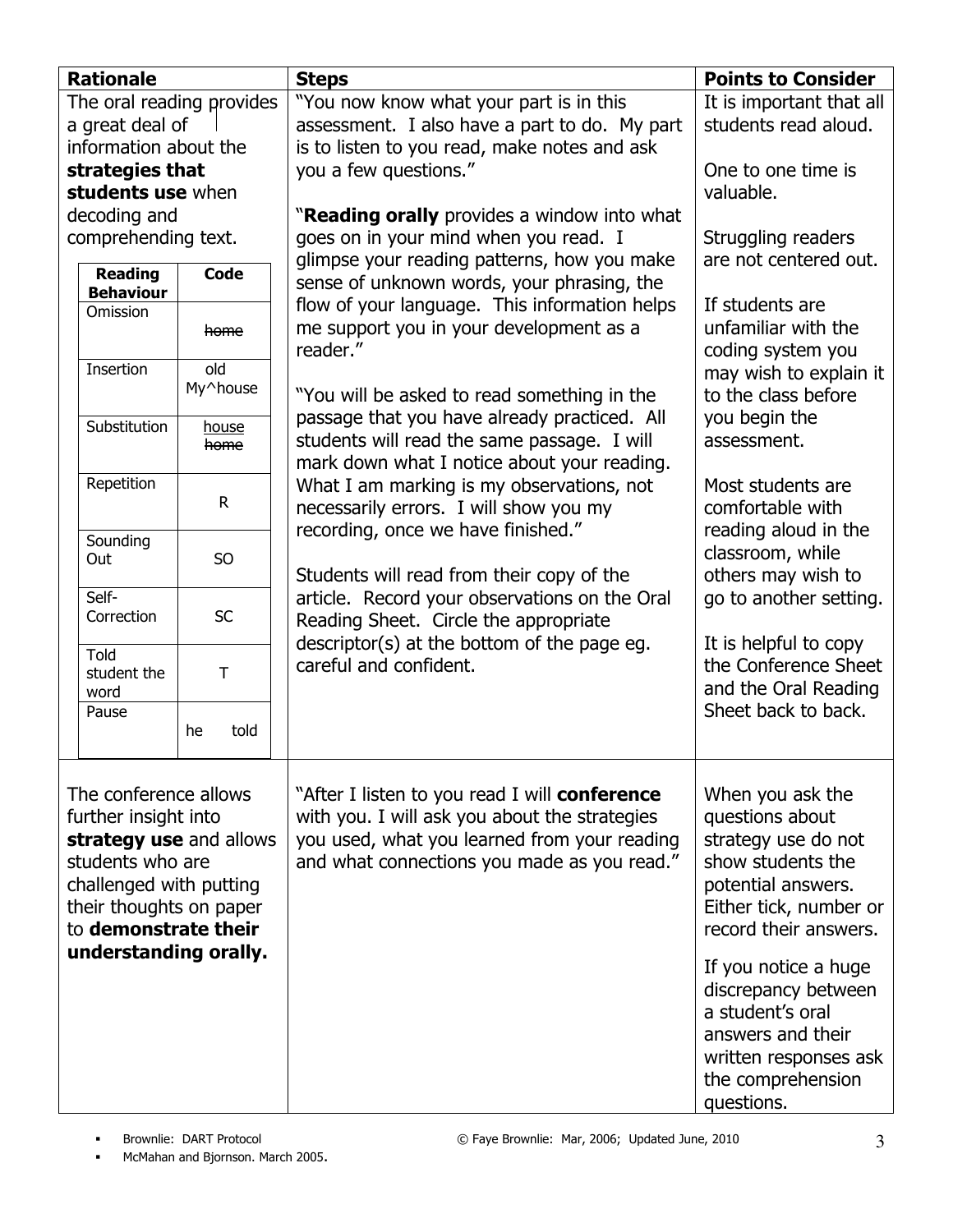| <b>Rationale</b>      |                           |                         | <b>Steps</b>                                                          | <b>Points to Consider</b>                     |
|-----------------------|---------------------------|-------------------------|-----------------------------------------------------------------------|-----------------------------------------------|
|                       | The oral reading provides |                         | "You now know what your part is in this                               | It is important that all                      |
|                       | a great deal of           |                         | assessment. I also have a part to do. My part                         | students read aloud.                          |
|                       | information about the     |                         | is to listen to you read, make notes and ask                          |                                               |
|                       | strategies that           |                         | you a few questions."                                                 | One to one time is                            |
|                       | students use when         |                         |                                                                       | valuable.                                     |
|                       | decoding and              |                         | "Reading orally provides a window into what                           |                                               |
|                       | comprehending text.       |                         | goes on in your mind when you read. I                                 | Struggling readers                            |
|                       | <b>Reading</b>            | Code                    | glimpse your reading patterns, how you make                           | are not centered out.                         |
|                       | <b>Behaviour</b>          |                         | sense of unknown words, your phrasing, the                            |                                               |
|                       | Omission                  |                         | flow of your language. This information helps                         | If students are                               |
|                       |                           | home                    | me support you in your development as a                               | unfamiliar with the                           |
|                       |                           |                         | reader."                                                              | coding system you                             |
|                       | Insertion                 | old<br>My^house         |                                                                       | may wish to explain it                        |
|                       |                           |                         | "You will be asked to read something in the                           | to the class before                           |
|                       | Substitution              | <u>house</u>            | passage that you have already practiced. All                          | you begin the                                 |
|                       |                           | home                    | students will read the same passage. I will                           | assessment.                                   |
|                       |                           |                         | mark down what I notice about your reading.                           |                                               |
|                       | Repetition                | $\mathsf{R}$            | What I am marking is my observations, not                             | Most students are                             |
|                       |                           |                         | necessarily errors. I will show you my                                | comfortable with                              |
|                       | Sounding                  |                         | recording, once we have finished."                                    | reading aloud in the                          |
|                       | Out                       | S <sub>O</sub>          |                                                                       | classroom, while                              |
|                       |                           |                         | Students will read from their copy of the                             | others may wish to                            |
|                       | Self-<br>Correction       | <b>SC</b>               | article. Record your observations on the Oral                         | go to another setting.                        |
|                       |                           |                         | Reading Sheet. Circle the appropriate                                 |                                               |
|                       | <b>Told</b>               |                         | descriptor(s) at the bottom of the page eg.<br>careful and confident. | It is helpful to copy<br>the Conference Sheet |
|                       | student the               | $\top$                  |                                                                       | and the Oral Reading                          |
|                       | word<br>Pause             |                         |                                                                       | Sheet back to back.                           |
|                       |                           | told<br>he              |                                                                       |                                               |
|                       |                           |                         |                                                                       |                                               |
|                       |                           |                         |                                                                       |                                               |
|                       | The conference allows     |                         | "After I listen to you read I will conference                         | When you ask the                              |
|                       | further insight into      |                         | with you. I will ask you about the strategies                         | questions about                               |
|                       |                           | strategy use and allows | you used, what you learned from your reading                          | strategy use do not                           |
|                       | students who are          |                         | and what connections you made as you read."                           | show students the                             |
|                       | challenged with putting   |                         |                                                                       | potential answers.                            |
|                       | their thoughts on paper   |                         |                                                                       | Either tick, number or                        |
|                       | to demonstrate their      |                         |                                                                       | record their answers.                         |
| understanding orally. |                           |                         |                                                                       | If you notice a huge                          |
|                       |                           |                         |                                                                       |                                               |
|                       |                           |                         |                                                                       | discrepancy between<br>a student's oral       |
|                       |                           |                         |                                                                       |                                               |
|                       |                           |                         |                                                                       | answers and their                             |
|                       |                           |                         |                                                                       | written responses ask                         |
|                       |                           |                         |                                                                       | the comprehension                             |
|                       |                           |                         |                                                                       | questions.                                    |